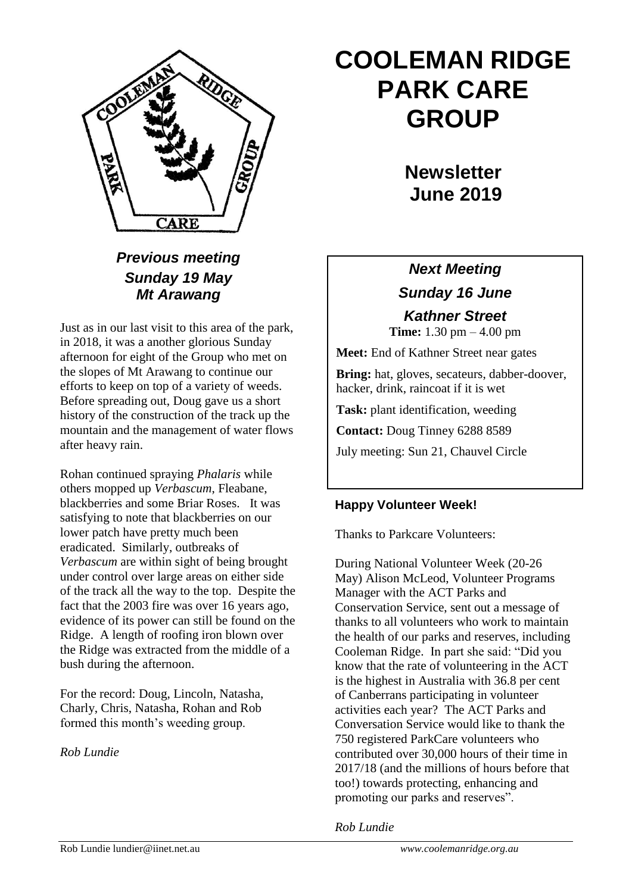

# **COOLEMAN RIDGE PARK CARE GROUP**

**Newsletter June 2019** 

### *Previous meeting Sunday 19 May Mt Arawang*

Just as in our last visit to this area of the park, in 2018, it was a another glorious Sunday afternoon for eight of the Group who met on the slopes of Mt Arawang to continue our efforts to keep on top of a variety of weeds. Before spreading out, Doug gave us a short history of the construction of the track up the mountain and the management of water flows after heavy rain.

Rohan continued spraying *Phalaris* while others mopped up *Verbascum*, Fleabane, blackberries and some Briar Roses. It was satisfying to note that blackberries on our lower patch have pretty much been eradicated. Similarly, outbreaks of *Verbascum* are within sight of being brought under control over large areas on either side of the track all the way to the top. Despite the fact that the 2003 fire was over 16 years ago, evidence of its power can still be found on the Ridge. A length of roofing iron blown over the Ridge was extracted from the middle of a bush during the afternoon.

For the record: Doug, Lincoln, Natasha, Charly, Chris, Natasha, Rohan and Rob formed this month's weeding group.

*Rob Lundie*

## *Next Meeting Sunday 16 June*

*Kathner Street* **Time:** 1.30 pm – 4.00 pm

**Meet:** End of Kathner Street near gates

**Bring:** hat, gloves, secateurs, dabber-doover, hacker, drink, raincoat if it is wet

**Task:** plant identification, weeding

**Contact:** Doug Tinney 6288 8589

July meeting: Sun 21, Chauvel Circle

### **Happy Volunteer Week!**

Thanks to Parkcare Volunteers:

During National Volunteer Week (20-26 May) Alison McLeod, Volunteer Programs Manager with the ACT Parks and Conservation Service, sent out a message of thanks to all volunteers who work to maintain the health of our parks and reserves, including Cooleman Ridge. In part she said: "Did you know that the rate of volunteering in the ACT is the highest in Australia with 36.8 per cent of Canberrans participating in volunteer activities each year? The ACT Parks and Conversation Service would like to thank the 750 registered ParkCare volunteers who contributed over 30,000 hours of their time in 2017/18 (and the millions of hours before that too!) towards protecting, enhancing and promoting our parks and reserves".

*Rob Lundie*